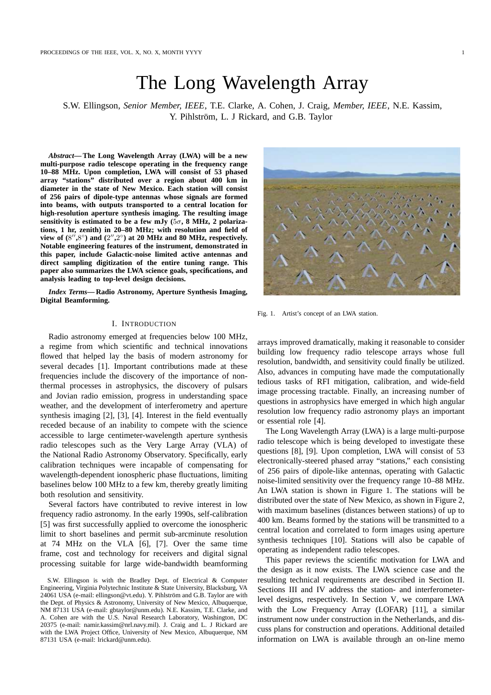# The Long Wavelength Array

S.W. Ellingson, *Senior Member, IEEE*, T.E. Clarke, A. Cohen, J. Craig, *Member, IEEE*, N.E. Kassim, Y. Pihlström, L. J Rickard, and G.B. Taylor

*Abstract***— The Long Wavelength Array (LWA) will be a new multi-purpose radio telescope operating in the frequency range 10–88 MHz. Upon completion, LWA will consist of 53 phased array "stations" distributed over a region about 400 km in diameter in the state of New Mexico. Each station will consist of 256 pairs of dipole-type antennas whose signals are formed into beams, with outputs transported to a central location for high-resolution aperture synthesis imaging. The resulting image sensitivity is estimated to be a few mJy (**5σ**, 8 MHz, 2 polarizations, 1 hr, zenith) in 20–80 MHz; with resolution and field of** view of  $(8'', 8^\circ)$  and  $(2'', 2^\circ)$  at 20 MHz and 80 MHz, respectively. **Notable engineering features of the instrument, demonstrated in this paper, include Galactic-noise limited active antennas and direct sampling digitization of the entire tuning range. This paper also summarizes the LWA science goals, specifications, and analysis leading to top-level design decisions.**

*Index Terms***— Radio Astronomy, Aperture Synthesis Imaging, Digital Beamforming.**

# I. INTRODUCTION

Radio astronomy emerged at frequencies below 100 MHz, a regime from which scientific and technical innovations flowed that helped lay the basis of modern astronomy for several decades [1]. Important contributions made at these frequencies include the discovery of the importance of nonthermal processes in astrophysics, the discovery of pulsars and Jovian radio emission, progress in understanding space weather, and the development of interferometry and aperture synthesis imaging [2], [3], [4]. Interest in the field eventually receded because of an inability to compete with the science accessible to large centimeter-wavelength aperture synthesis radio telescopes such as the Very Large Array (VLA) of the National Radio Astronomy Observatory. Specifically, early calibration techniques were incapable of compensating for wavelength-dependent ionospheric phase fluctuations, limiting baselines below 100 MHz to a few km, thereby greatly limiting both resolution and sensitivity.

Several factors have contributed to revive interest in low frequency radio astronomy. In the early 1990s, self-calibration [5] was first successfully applied to overcome the ionospheric limit to short baselines and permit sub-arcminute resolution at 74 MHz on the VLA [6], [7]. Over the same time frame, cost and technology for receivers and digital signal processing suitable for large wide-bandwidth beamforming



Fig. 1. Artist's concept of an LWA station.

arrays improved dramatically, making it reasonable to consider building low frequency radio telescope arrays whose full resolution, bandwidth, and sensitivity could finally be utilized. Also, advances in computing have made the computationally tedious tasks of RFI mitigation, calibration, and wide-field image processing tractable. Finally, an increasing number of questions in astrophysics have emerged in which high angular resolution low frequency radio astronomy plays an important or essential role [4].

The Long Wavelength Array (LWA) is a large multi-purpose radio telescope which is being developed to investigate these questions [8], [9]. Upon completion, LWA will consist of 53 electronically-steered phased array "stations," each consisting of 256 pairs of dipole-like antennas, operating with Galactic noise-limited sensitivity over the frequency range 10–88 MHz. An LWA station is shown in Figure 1. The stations will be distributed over the state of New Mexico, as shown in Figure 2, with maximum baselines (distances between stations) of up to 400 km. Beams formed by the stations will be transmitted to a central location and correlated to form images using aperture synthesis techniques [10]. Stations will also be capable of operating as independent radio telescopes.

This paper reviews the scientific motivation for LWA and the design as it now exists. The LWA science case and the resulting technical requirements are described in Section II. Sections III and IV address the station- and interferometerlevel designs, respectively. In Section V, we compare LWA with the Low Frequency Array (LOFAR) [11], a similar instrument now under construction in the Netherlands, and discuss plans for construction and operations. Additional detailed information on LWA is available through an on-line memo

S.W. Ellingson is with the Bradley Dept. of Electrical & Computer Engineering, Virginia Polytechnic Institute & State University, Blacksburg, VA 24061 USA (e-mail: ellingson@vt.edu). Y. Pihlström and G.B. Taylor are with the Dept. of Physics & Astronomy, University of New Mexico, Albuquerque, NM 87131 USA (e-mail: gbtaylor@unm.edu). N.E. Kassim, T.E. Clarke, and A. Cohen are with the U.S. Naval Research Laboratory, Washington, DC 20375 (e-mail: namir.kassim@nrl.navy.mil). J. Craig and L. J Rickard are with the LWA Project Office, University of New Mexico, Albuquerque, NM 87131 USA (e-mail: lrickard@unm.edu).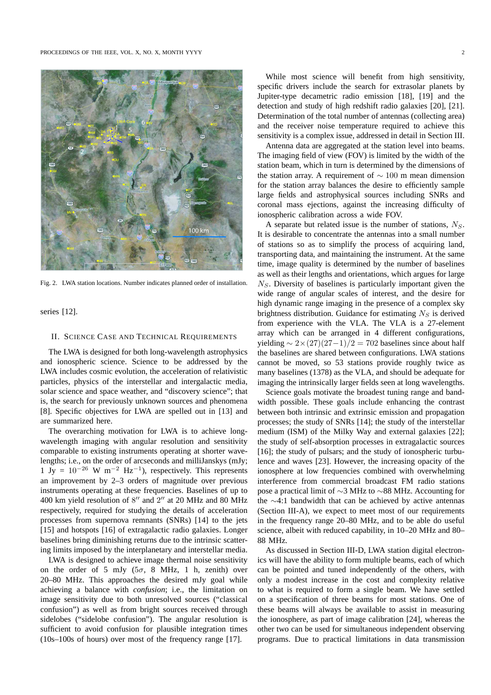

Fig. 2. LWA station locations. Number indicates planned order of installation.

series [12].

#### II. SCIENCE CASE AND TECHNICAL REQUIREMENTS

The LWA is designed for both long-wavelength astrophysics and ionospheric science. Science to be addressed by the LWA includes cosmic evolution, the acceleration of relativistic particles, physics of the interstellar and intergalactic media, solar science and space weather, and "discovery science"; that is, the search for previously unknown sources and phenomena [8]. Specific objectives for LWA are spelled out in [13] and are summarized here.

The overarching motivation for LWA is to achieve longwavelength imaging with angular resolution and sensitivity comparable to existing instruments operating at shorter wavelengths; i.e., on the order of arcseconds and milliJanskys (mJy;  $1 \text{ Jy} = 10^{-26} \text{ W m}^{-2} \text{ Hz}^{-1}$ , respectively. This represents an improvement by 2–3 orders of magnitude over previous instruments operating at these frequencies. Baselines of up to 400 km yield resolution of 8" and 2" at 20 MHz and 80 MHz respectively, required for studying the details of acceleration processes from supernova remnants (SNRs) [14] to the jets [15] and hotspots [16] of extragalactic radio galaxies. Longer baselines bring diminishing returns due to the intrinsic scattering limits imposed by the interplanetary and interstellar media.

LWA is designed to achieve image thermal noise sensitivity on the order of 5 mJy ( $5\sigma$ , 8 MHz, 1 h, zenith) over 20–80 MHz. This approaches the desired mJy goal while achieving a balance with *confusion*; i.e., the limitation on image sensitivity due to both unresolved sources ("classical confusion") as well as from bright sources received through sidelobes ("sidelobe confusion"). The angular resolution is sufficient to avoid confusion for plausible integration times (10s–100s of hours) over most of the frequency range [17].

While most science will benefit from high sensitivity, specific drivers include the search for extrasolar planets by Jupiter-type decametric radio emission [18], [19] and the detection and study of high redshift radio galaxies [20], [21]. Determination of the total number of antennas (collecting area) and the receiver noise temperature required to achieve this sensitivity is a complex issue, addressed in detail in Section III.

Antenna data are aggregated at the station level into beams. The imaging field of view (FOV) is limited by the width of the station beam, which in turn is determined by the dimensions of the station array. A requirement of ∼ 100 m mean dimension for the station array balances the desire to efficiently sample large fields and astrophysical sources including SNRs and coronal mass ejections, against the increasing difficulty of ionospheric calibration across a wide FOV.

A separate but related issue is the number of stations,  $N<sub>S</sub>$ . It is desirable to concentrate the antennas into a small number of stations so as to simplify the process of acquiring land, transporting data, and maintaining the instrument. At the same time, image quality is determined by the number of baselines as well as their lengths and orientations, which argues for large  $N<sub>S</sub>$ . Diversity of baselines is particularly important given the wide range of angular scales of interest, and the desire for high dynamic range imaging in the presence of a complex sky brightness distribution. Guidance for estimating  $N<sub>S</sub>$  is derived from experience with the VLA. The VLA is a 27-element array which can be arranged in 4 different configurations, yielding  $\sim 2 \times (27)(27-1)/2 = 702$  baselines since about half the baselines are shared between configurations. LWA stations cannot be moved, so 53 stations provide roughly twice as many baselines (1378) as the VLA, and should be adequate for imaging the intrinsically larger fields seen at long wavelengths.

Science goals motivate the broadest tuning range and bandwidth possible. These goals include enhancing the contrast between both intrinsic and extrinsic emission and propagation processes; the study of SNRs [14]; the study of the interstellar medium (ISM) of the Milky Way and external galaxies [22]; the study of self-absorption processes in extragalactic sources [16]; the study of pulsars; and the study of ionospheric turbulence and waves [23]. However, the increasing opacity of the ionosphere at low frequencies combined with overwhelming interference from commercial broadcast FM radio stations pose a practical limit of ∼3 MHz to ∼88 MHz. Accounting for the ∼4:1 bandwidth that can be achieved by active antennas (Section III-A), we expect to meet most of our requirements in the frequency range 20–80 MHz, and to be able do useful science, albeit with reduced capability, in 10–20 MHz and 80– 88 MHz.

As discussed in Section III-D, LWA station digital electronics will have the ability to form multiple beams, each of which can be pointed and tuned independently of the others, with only a modest increase in the cost and complexity relative to what is required to form a single beam. We have settled on a specification of three beams for most stations. One of these beams will always be available to assist in measuring the ionosphere, as part of image calibration [24], whereas the other two can be used for simultaneous independent observing programs. Due to practical limitations in data transmission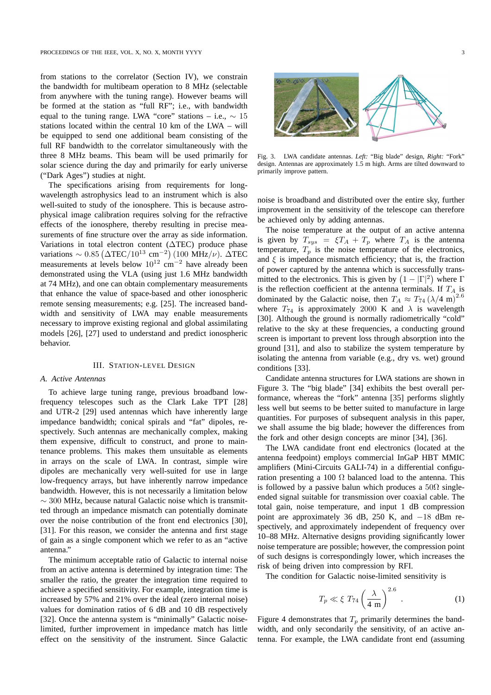from stations to the correlator (Section IV), we constrain the bandwidth for multibeam operation to 8 MHz (selectable from anywhere with the tuning range). However beams will be formed at the station as "full RF"; i.e., with bandwidth equal to the tuning range. LWA "core" stations – i.e.,  $\sim 15$ stations located within the central 10 km of the LWA – will be equipped to send one additional beam consisting of the full RF bandwidth to the correlator simultaneously with the three 8 MHz beams. This beam will be used primarily for solar science during the day and primarily for early universe ("Dark Ages") studies at night.

The specifications arising from requirements for longwavelength astrophysics lead to an instrument which is also well-suited to study of the ionosphere. This is because astrophysical image calibration requires solving for the refractive effects of the ionosphere, thereby resulting in precise measurements of fine structure over the array as side information. Variations in total electron content (∆TEC) produce phase variations ~ 0.85 ( $\Delta \text{TEC}/10^{13} \text{ cm}^{-2}$ ) (100 MHz/ $\nu$ ).  $\Delta \text{TEC}$ measurements at levels below  $10^{12}$  cm<sup>-2</sup> have already been demonstrated using the VLA (using just 1.6 MHz bandwidth at 74 MHz), and one can obtain complementary measurements that enhance the value of space-based and other ionospheric remote sensing measurements; e.g. [25]. The increased bandwidth and sensitivity of LWA may enable measurements necessary to improve existing regional and global assimilating models [26], [27] used to understand and predict ionospheric behavior.

### III. STATION-LEVEL DESIGN

#### *A. Active Antennas*

To achieve large tuning range, previous broadband lowfrequency telescopes such as the Clark Lake TPT [28] and UTR-2 [29] used antennas which have inherently large impedance bandwidth; conical spirals and "fat" dipoles, respectively. Such antennas are mechanically complex, making them expensive, difficult to construct, and prone to maintenance problems. This makes them unsuitable as elements in arrays on the scale of LWA. In contrast, simple wire dipoles are mechanically very well-suited for use in large low-frequency arrays, but have inherently narrow impedance bandwidth. However, this is not necessarily a limitation below  $\sim$  300 MHz, because natural Galactic noise which is transmitted through an impedance mismatch can potentially dominate over the noise contribution of the front end electronics [30], [31]. For this reason, we consider the antenna and first stage of gain as a single component which we refer to as an "active antenna."

The minimum acceptable ratio of Galactic to internal noise from an active antenna is determined by integration time: The smaller the ratio, the greater the integration time required to achieve a specified sensitivity. For example, integration time is increased by 57% and 21% over the ideal (zero internal noise) values for domination ratios of 6 dB and 10 dB respectively [32]. Once the antenna system is "minimally" Galactic noiselimited, further improvement in impedance match has little effect on the sensitivity of the instrument. Since Galactic



Fig. 3. LWA candidate antennas. *Left:* "Big blade" design, *Right:* "Fork" design. Antennas are approximately 1.5 m high. Arms are tilted downward to primarily improve pattern.

noise is broadband and distributed over the entire sky, further improvement in the sensitivity of the telescope can therefore be achieved only by adding antennas.

The noise temperature at the output of an active antenna is given by  $T_{sys} = \xi T_A + T_p$  where  $T_A$  is the antenna temperature,  $T_p$  is the noise temperature of the electronics, and  $\xi$  is impedance mismatch efficiency; that is, the fraction of power captured by the antenna which is successfully transmitted to the electronics. This is given by  $(1 - |\Gamma|^2)$  where  $\Gamma$ is the reflection coefficient at the antenna terminals. If  $T_A$  is dominated by the Galactic noise, then  $T_A \approx T_{74} (\lambda/4 \text{ m})^{2.6}$ where  $T_{74}$  is approximately 2000 K and  $\lambda$  is wavelength [30]. Although the ground is normally radiometrically "cold" relative to the sky at these frequencies, a conducting ground screen is important to prevent loss through absorption into the ground [31], and also to stabilize the system temperature by isolating the antenna from variable (e.g., dry vs. wet) ground conditions [33].

Candidate antenna structures for LWA stations are shown in Figure 3. The "big blade" [34] exhibits the best overall performance, whereas the "fork" antenna [35] performs slightly less well but seems to be better suited to manufacture in large quantities. For purposes of subsequent analysis in this paper, we shall assume the big blade; however the differences from the fork and other design concepts are minor [34], [36].

The LWA candidate front end electronics (located at the antenna feedpoint) employs commercial InGaP HBT MMIC amplifiers (Mini-Circuits GALI-74) in a differential configuration presenting a 100  $\Omega$  balanced load to the antenna. This is followed by a passive balun which produces a  $50\Omega$  singleended signal suitable for transmission over coaxial cable. The total gain, noise temperature, and input 1 dB compression point are approximately 36 dB, 250 K, and −18 dBm respectively, and approximately independent of frequency over 10–88 MHz. Alternative designs providing significantly lower noise temperature are possible; however, the compression point of such designs is correspondingly lower, which increases the risk of being driven into compression by RFI.

The condition for Galactic noise-limited sensitivity is

$$
T_p \ll \xi \ T_{74} \left(\frac{\lambda}{4 \text{ m}}\right)^{2.6} \ . \tag{1}
$$

Figure 4 demonstrates that  $T_p$  primarily determines the bandwidth, and only secondarily the sensitivity, of an active antenna. For example, the LWA candidate front end (assuming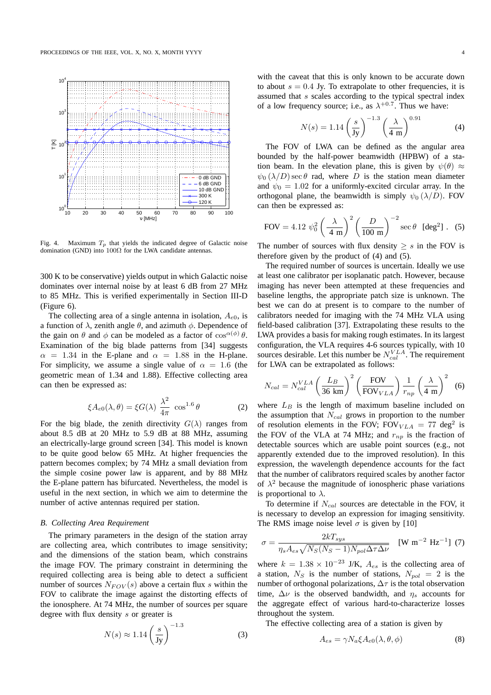

Fig. 4. Maximum  $T_p$  that yields the indicated degree of Galactic noise domination (GND) into  $100\Omega$  for the LWA candidate antennas.

300 K to be conservative) yields output in which Galactic noise dominates over internal noise by at least 6 dB from 27 MHz to 85 MHz. This is verified experimentally in Section III-D (Figure 6).

The collecting area of a single antenna in isolation,  $A_{e0}$ , is a function of  $\lambda$ , zenith angle  $\theta$ , and azimuth  $\phi$ . Dependence of the gain on  $\theta$  and  $\phi$  can be modeled as a factor of  $\cos^{\alpha(\phi)} \theta$ . Examination of the big blade patterns from [34] suggests  $\alpha$  = 1.34 in the E-plane and  $\alpha$  = 1.88 in the H-plane. For simplicity, we assume a single value of  $\alpha = 1.6$  (the geometric mean of 1.34 and 1.88). Effective collecting area can then be expressed as:

$$
\xi A_{e0}(\lambda,\theta) = \xi G(\lambda) \frac{\lambda^2}{4\pi} \cos^{1.6} \theta \tag{2}
$$

For the big blade, the zenith directivity  $G(\lambda)$  ranges from about 8.5 dB at 20 MHz to 5.9 dB at 88 MHz, assuming an electrically-large ground screen [34]. This model is known to be quite good below 65 MHz. At higher frequencies the pattern becomes complex; by 74 MHz a small deviation from the simple cosine power law is apparent, and by 88 MHz the E-plane pattern has bifurcated. Nevertheless, the model is useful in the next section, in which we aim to determine the number of active antennas required per station.

#### *B. Collecting Area Requirement*

The primary parameters in the design of the station array are collecting area, which contributes to image sensitivity; and the dimensions of the station beam, which constrains the image FOV. The primary constraint in determining the required collecting area is being able to detect a sufficient number of sources  $N_{FOV}(s)$  above a certain flux s within the FOV to calibrate the image against the distorting effects of the ionosphere. At 74 MHz, the number of sources per square degree with flux density s or greater is

$$
N(s) \approx 1.14 \left(\frac{s}{\text{Jy}}\right)^{-1.3} \tag{3}
$$

with the caveat that this is only known to be accurate down to about  $s = 0.4$  Jy. To extrapolate to other frequencies, it is assumed that s scales according to the typical spectral index of a low frequency source; i.e., as  $\lambda^{+0.7}$ . Thus we have:

$$
N(s) = 1.14 \left(\frac{s}{\text{Jy}}\right)^{-1.3} \left(\frac{\lambda}{4 \text{ m}}\right)^{0.91} \tag{4}
$$

The FOV of LWA can be defined as the angular area bounded by the half-power beamwidth (HPBW) of a station beam. In the elevation plane, this is given by  $\psi(\theta) \approx$  $\psi_0 (\lambda/D) \sec \theta$  rad, where D is the station mean diameter and  $\psi_0 = 1.02$  for a uniformly-excited circular array. In the orthogonal plane, the beamwidth is simply  $\psi_0(\lambda/D)$ . FOV can then be expressed as:

FOV = 4.12 
$$
\psi_0^2 \left(\frac{\lambda}{4 \text{ m}}\right)^2 \left(\frac{D}{100 \text{ m}}\right)^{-2} \sec \theta \text{ [deg}^2 \text{]}.
$$
 (5)

The number of sources with flux density  $\geq s$  in the FOV is therefore given by the product of (4) and (5).

The required number of sources is uncertain. Ideally we use at least one calibrator per isoplanatic patch. However, because imaging has never been attempted at these frequencies and baseline lengths, the appropriate patch size is unknown. The best we can do at present is to compare to the number of calibrators needed for imaging with the 74 MHz VLA using field-based calibration [37]. Extrapolating these results to the LWA provides a basis for making rough estimates. In its largest configuration, the VLA requires 4-6 sources typically, with 10 sources desirable. Let this number be  $N_{cal}^{VLA}$ . The requirement for LWA can be extrapolated as follows:

$$
N_{cal} = N_{cal}^{VLA} \left(\frac{L_B}{36 \text{ km}}\right)^2 \left(\frac{\text{FOV}}{\text{FOV}_{VLA}}\right) \frac{1}{r_{np}} \left(\frac{\lambda}{4 \text{ m}}\right)^2 \tag{6}
$$

where  $L_B$  is the length of maximum baseline included on the assumption that  $N_{cal}$  grows in proportion to the number of resolution elements in the FOV;  $FOV<sub>VLA</sub> = 77 \text{ deg}^2$  is the FOV of the VLA at 74 MHz; and  $r_{np}$  is the fraction of detectable sources which are usable point sources (e.g., not apparently extended due to the improved resolution). In this expression, the wavelength dependence accounts for the fact that the number of calibrators required scales by another factor of  $\lambda^2$  because the magnitude of ionospheric phase variations is proportional to  $\lambda$ .

To determine if  $N_{cal}$  sources are detectable in the FOV, it is necessary to develop an expression for imaging sensitivity. The RMS image noise level  $\sigma$  is given by [10]

$$
\sigma = \frac{2kT_{sys}}{\eta_s A_{es} \sqrt{N_S(N_S - 1)N_{pol}\Delta\tau\Delta\nu}} \quad \text{[W m$^{-2}$ Hz$^{-1}$]} \tag{7}
$$

where  $k = 1.38 \times 10^{-23}$  J/K,  $A_{es}$  is the collecting area of a station,  $N_S$  is the number of stations,  $N_{pol} = 2$  is the number of orthogonal polarizations,  $\Delta \tau$  is the total observation time,  $\Delta \nu$  is the observed bandwidth, and  $\eta_s$  accounts for the aggregate effect of various hard-to-characterize losses throughout the system.

The effective collecting area of a station is given by

$$
A_{es} = \gamma N_a \xi A_{e0}(\lambda, \theta, \phi) \tag{8}
$$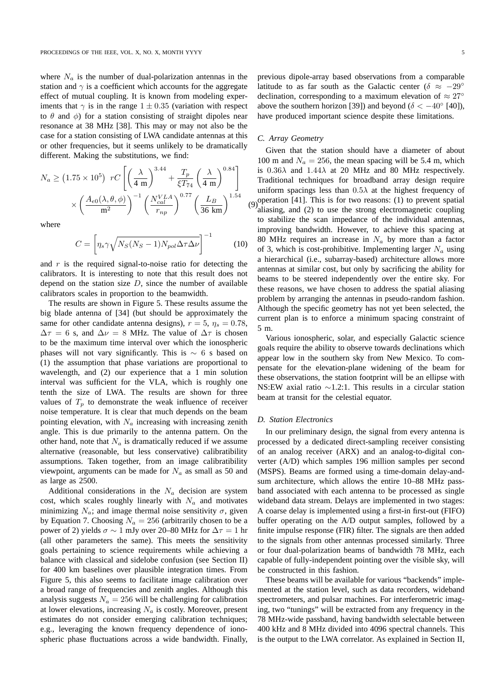where  $N_a$  is the number of dual-polarization antennas in the station and  $\gamma$  is a coefficient which accounts for the aggregate effect of mutual coupling. It is known from modeling experiments that  $\gamma$  is in the range  $1 \pm 0.35$  (variation with respect to  $\theta$  and  $\phi$ ) for a station consisting of straight dipoles near resonance at 38 MHz [38]. This may or may not also be the case for a station consisting of LWA candidate antennas at this or other frequencies, but it seems unlikely to be dramatically different. Making the substitutions, we find:

$$
N_a \ge (1.75 \times 10^5) \ rC \left[ \left( \frac{\lambda}{4 \text{ m}} \right)^{3.44} + \frac{T_p}{\xi T_{74}} \left( \frac{\lambda}{4 \text{ m}} \right)^{0.84} \right] \times \left( \frac{A_{e0}(\lambda, \theta, \phi)}{\text{m}^2} \right)^{-1} \left( \frac{N_{cal}^{VLA}}{r_{np}} \right)^{0.77} \left( \frac{L_B}{36 \text{ km}} \right)^{1.54}
$$

where

$$
C = \left[ \eta_s \gamma \sqrt{N_S (N_S - 1) N_{pol} \Delta \tau \Delta \nu} \right]^{-1} \tag{10}
$$

and  $r$  is the required signal-to-noise ratio for detecting the calibrators. It is interesting to note that this result does not depend on the station size  $D$ , since the number of available calibrators scales in proportion to the beamwidth.

The results are shown in Figure 5. These results assume the big blade antenna of [34] (but should be approximately the same for other candidate antenna designs),  $r = 5$ ,  $\eta_s = 0.78$ ,  $\Delta \tau = 6$  s, and  $\Delta \nu = 8$  MHz. The value of  $\Delta \tau$  is chosen to be the maximum time interval over which the ionospheric phases will not vary significantly. This is  $\sim 6$  s based on (1) the assumption that phase variations are proportional to wavelength, and (2) our experience that a 1 min solution interval was sufficient for the VLA, which is roughly one tenth the size of LWA. The results are shown for three values of  $T_p$  to demonstrate the weak influence of receiver noise temperature. It is clear that much depends on the beam pointing elevation, with  $N_a$  increasing with increasing zenith angle. This is due primarily to the antenna pattern. On the other hand, note that  $N_a$  is dramatically reduced if we assume alternative (reasonable, but less conservative) calibratibility assumptions. Taken together, from an image calibratibility viewpoint, arguments can be made for  $N_a$  as small as 50 and as large as 2500.

Additional considerations in the  $N_a$  decision are system cost, which scales roughly linearly with  $N_a$  and motivates minimizing  $N_a$ ; and image thermal noise sensitivity  $\sigma$ , given by Equation 7. Choosing  $N_a = 256$  (arbitrarily chosen to be a power of 2) yields  $\sigma \sim 1$  mJy over 20–80 MHz for  $\Delta \tau = 1$  hr (all other parameters the same). This meets the sensitivity goals pertaining to science requirements while achieving a balance with classical and sidelobe confusion (see Section II) for 400 km baselines over plausible integration times. From Figure 5, this also seems to facilitate image calibration over a broad range of frequencies and zenith angles. Although this analysis suggests  $N_a = 256$  will be challenging for calibration at lower elevations, increasing  $N_a$  is costly. Moreover, present estimates do not consider emerging calibration techniques; e.g., leveraging the known frequency dependence of ionospheric phase fluctuations across a wide bandwidth. Finally,

previous dipole-array based observations from a comparable latitude to as far south as the Galactic center ( $\delta \approx -29^{\circ}$ ) declination, corresponding to a maximum elevation of  $\approx 27^\circ$ above the southern horizon [39]) and beyond ( $\delta < -40^{\circ}$  [40]), have produced important science despite these limitations.

## *C. Array Geometry*

(9) operation [41]. This is for two reasons: (1) to prevent spatial  $(9)$  stissing and  $(2)$  to use the strape algebra previous spatial Given that the station should have a diameter of about 100 m and  $N_a = 256$ , the mean spacing will be 5.4 m, which is  $0.36\lambda$  and  $1.44\lambda$  at 20 MHz and 80 MHz respectively. Traditional techniques for broadband array design require uniform spacings less than  $0.5\lambda$  at the highest frequency of aliasing, and (2) to use the strong electromagnetic coupling to stabilize the scan impedance of the individual antennas, improving bandwidth. However, to achieve this spacing at 80 MHz requires an increase in  $N_a$  by more than a factor of 3, which is cost-prohibitive. Implementing larger  $N_a$  using a hierarchical (i.e., subarray-based) architecture allows more antennas at similar cost, but only by sacrificing the ability for beams to be steered independently over the entire sky. For these reasons, we have chosen to address the spatial aliasing problem by arranging the antennas in pseudo-random fashion. Although the specific geometry has not yet been selected, the current plan is to enforce a minimum spacing constraint of 5 m.

Various ionospheric, solar, and especially Galactic science goals require the ability to observe towards declinations which appear low in the southern sky from New Mexico. To compensate for the elevation-plane widening of the beam for these observations, the station footprint will be an ellipse with NS:EW axial ratio ∼1.2:1. This results in a circular station beam at transit for the celestial equator.

## *D. Station Electronics*

In our preliminary design, the signal from every antenna is processed by a dedicated direct-sampling receiver consisting of an analog receiver (ARX) and an analog-to-digital converter (A/D) which samples 196 million samples per second (MSPS). Beams are formed using a time-domain delay-andsum architecture, which allows the entire 10–88 MHz passband associated with each antenna to be processed as single wideband data stream. Delays are implemented in two stages: A coarse delay is implemented using a first-in first-out (FIFO) buffer operating on the A/D output samples, followed by a finite impulse response (FIR) filter. The signals are then added to the signals from other antennas processed similarly. Three or four dual-polarization beams of bandwidth 78 MHz, each capable of fully-independent pointing over the visible sky, will be constructed in this fashion.

These beams will be available for various "backends" implemented at the station level, such as data recorders, wideband spectrometers, and pulsar machines. For interferometric imaging, two "tunings" will be extracted from any frequency in the 78 MHz-wide passband, having bandwidth selectable between 400 kHz and 8 MHz divided into 4096 spectral channels. This is the output to the LWA correlator. As explained in Section II,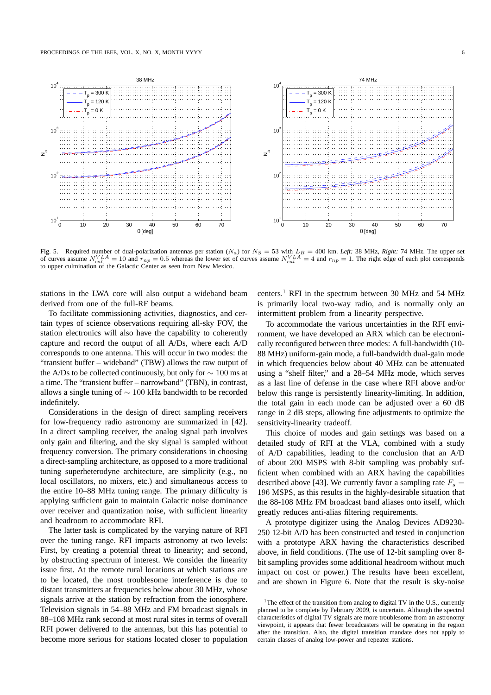

Fig. 5. Required number of dual-polarization antennas per station  $(N_a)$  for  $N_s = 53$  with  $L_B = 400$  km. *Left:* 38 MHz, *Right:* 74 MHz. The upper set of curves assume  $N_{cal}^{VLA} = 10$  and  $r_{np} = 0.5$  whereas the lower set of curves assume  $N_{cal}^{VLA} = 4$  and  $r_{np} = 1$ . The right edge of each plot corresponds to upper culmination of the Galactic Center as seen from New Mexico.

stations in the LWA core will also output a wideband beam derived from one of the full-RF beams.

To facilitate commissioning activities, diagnostics, and certain types of science observations requiring all-sky FOV, the station electronics will also have the capability to coherently capture and record the output of all A/Ds, where each A/D corresponds to one antenna. This will occur in two modes: the "transient buffer – wideband" (TBW) allows the raw output of the A/Ds to be collected continuously, but only for  $\sim 100$  ms at a time. The "transient buffer – narrowband" (TBN), in contrast, allows a single tuning of ∼ 100 kHz bandwidth to be recorded indefinitely.

Considerations in the design of direct sampling receivers for low-frequency radio astronomy are summarized in [42]. In a direct sampling receiver, the analog signal path involves only gain and filtering, and the sky signal is sampled without frequency conversion. The primary considerations in choosing a direct-sampling architecture, as opposed to a more traditional tuning superheterodyne architecture, are simplicity (e.g., no local oscillators, no mixers, etc.) and simultaneous access to the entire 10–88 MHz tuning range. The primary difficulty is applying sufficient gain to maintain Galactic noise dominance over receiver and quantization noise, with sufficient linearity and headroom to accommodate RFI.

The latter task is complicated by the varying nature of RFI over the tuning range. RFI impacts astronomy at two levels: First, by creating a potential threat to linearity; and second, by obstructing spectrum of interest. We consider the linearity issue first. At the remote rural locations at which stations are to be located, the most troublesome interference is due to distant transmitters at frequencies below about 30 MHz, whose signals arrive at the station by refraction from the ionosphere. Television signals in 54–88 MHz and FM broadcast signals in 88–108 MHz rank second at most rural sites in terms of overall RFI power delivered to the antennas, but this has potential to become more serious for stations located closer to population centers.<sup>1</sup> RFI in the spectrum between 30 MHz and 54 MHz is primarily local two-way radio, and is normally only an intermittent problem from a linearity perspective.

To accommodate the various uncertainties in the RFI environment, we have developed an ARX which can be electronically reconfigured between three modes: A full-bandwidth (10- 88 MHz) uniform-gain mode, a full-bandwidth dual-gain mode in which frequencies below about 40 MHz can be attenuated using a "shelf filter," and a 28–54 MHz mode, which serves as a last line of defense in the case where RFI above and/or below this range is persistently linearity-limiting. In addition, the total gain in each mode can be adjusted over a 60 dB range in 2 dB steps, allowing fine adjustments to optimize the sensitivity-linearity tradeoff.

This choice of modes and gain settings was based on a detailed study of RFI at the VLA, combined with a study of A/D capabilities, leading to the conclusion that an A/D of about 200 MSPS with 8-bit sampling was probably sufficient when combined with an ARX having the capabilities described above [43]. We currently favor a sampling rate  $F_s =$ 196 MSPS, as this results in the highly-desirable situation that the 88-108 MHz FM broadcast band aliases onto itself, which greatly reduces anti-alias filtering requirements.

A prototype digitizer using the Analog Devices AD9230- 250 12-bit A/D has been constructed and tested in conjunction with a prototype ARX having the characteristics described above, in field conditions. (The use of 12-bit sampling over 8 bit sampling provides some additional headroom without much impact on cost or power.) The results have been excellent, and are shown in Figure 6. Note that the result is sky-noise

<sup>&</sup>lt;sup>1</sup>The effect of the transition from analog to digital TV in the U.S., currently planned to be complete by February 2009, is uncertain. Although the spectral characteristics of digital TV signals are more troublesome from an astronomy viewpoint, it appears that fewer broadcasters will be operating in the region after the transition. Also, the digital transition mandate does not apply to certain classes of analog low-power and repeater stations.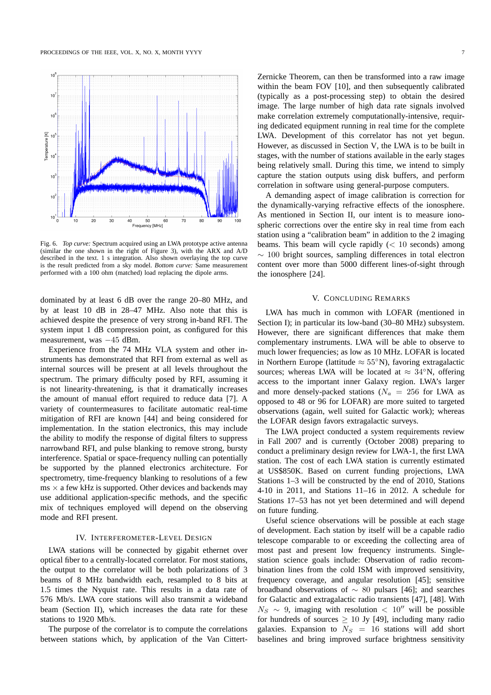

Fig. 6. *Top curve:* Spectrum acquired using an LWA prototype active antenna (similar the one shown in the right of Figure 3), with the ARX and A/D described in the text. 1 s integration. Also shown overlaying the top curve is the result predicted from a sky model. *Bottom curve:* Same measurement performed with a 100 ohm (matched) load replacing the dipole arms.

dominated by at least 6 dB over the range 20–80 MHz, and by at least 10 dB in 28–47 MHz. Also note that this is achieved despite the presence of very strong in-band RFI. The system input 1 dB compression point, as configured for this measurement, was −45 dBm.

Experience from the 74 MHz VLA system and other instruments has demonstrated that RFI from external as well as internal sources will be present at all levels throughout the spectrum. The primary difficulty posed by RFI, assuming it is not linearity-threatening, is that it dramatically increases the amount of manual effort required to reduce data [7]. A variety of countermeasures to facilitate automatic real-time mitigation of RFI are known [44] and being considered for implementation. In the station electronics, this may include the ability to modify the response of digital filters to suppress narrowband RFI, and pulse blanking to remove strong, bursty interference. Spatial or space-frequency nulling can potentially be supported by the planned electronics architecture. For spectrometry, time-frequency blanking to resolutions of a few  $\text{ms} \times \text{a few kHz}$  is supported. Other devices and backends may use additional application-specific methods, and the specific mix of techniques employed will depend on the observing mode and RFI present.

### IV. INTERFEROMETER-LEVEL DESIGN

LWA stations will be connected by gigabit ethernet over optical fiber to a centrally-located correlator. For most stations, the output to the correlator will be both polarizations of 3 beams of 8 MHz bandwidth each, resampled to 8 bits at 1.5 times the Nyquist rate. This results in a data rate of 576 Mb/s. LWA core stations will also transmit a wideband beam (Section II), which increases the data rate for these stations to 1920 Mb/s.

The purpose of the correlator is to compute the correlations between stations which, by application of the Van CittertZernicke Theorem, can then be transformed into a raw image within the beam FOV [10], and then subsequently calibrated (typically as a post-processing step) to obtain the desired image. The large number of high data rate signals involved make correlation extremely computationally-intensive, requiring dedicated equipment running in real time for the complete LWA. Development of this correlator has not yet begun. However, as discussed in Section V, the LWA is to be built in stages, with the number of stations available in the early stages being relatively small. During this time, we intend to simply capture the station outputs using disk buffers, and perform correlation in software using general-purpose computers.

A demanding aspect of image calibration is correction for the dynamically-varying refractive effects of the ionosphere. As mentioned in Section II, our intent is to measure ionospheric corrections over the entire sky in real time from each station using a "calibration beam" in addition to the 2 imaging beams. This beam will cycle rapidly  $(< 10$  seconds) among  $\sim$  100 bright sources, sampling differences in total electron content over more than 5000 different lines-of-sight through the ionosphere [24].

#### V. CONCLUDING REMARKS

LWA has much in common with LOFAR (mentioned in Section I); in particular its low-band (30–80 MHz) subsystem. However, there are significant differences that make them complementary instruments. LWA will be able to observe to much lower frequencies; as low as 10 MHz. LOFAR is located in Northern Europe (lattitude  $\approx 55^{\circ}$ N), favoring extragalactic sources; whereas LWA will be located at  $\approx 34°N$ , offering access to the important inner Galaxy region. LWA's larger and more densely-packed stations ( $N_a$  = 256 for LWA as opposed to 48 or 96 for LOFAR) are more suited to targeted observations (again, well suited for Galactic work); whereas the LOFAR design favors extragalactic surveys.

The LWA project conducted a system requirements review in Fall 2007 and is currently (October 2008) preparing to conduct a preliminary design review for LWA-1, the first LWA station. The cost of each LWA station is currently estimated at US\$850K. Based on current funding projections, LWA Stations 1–3 will be constructed by the end of 2010, Stations 4-10 in 2011, and Stations 11–16 in 2012. A schedule for Stations 17–53 has not yet been determined and will depend on future funding.

Useful science observations will be possible at each stage of development. Each station by itself will be a capable radio telescope comparable to or exceeding the collecting area of most past and present low frequency instruments. Singlestation science goals include: Observation of radio recombination lines from the cold ISM with improved sensitivity, frequency coverage, and angular resolution [45]; sensitive broadband observations of ∼ 80 pulsars [46]; and searches for Galactic and extragalactic radio transients [47], [48]. With  $N_S \sim 9$ , imaging with resolution < 10″ will be possible for hundreds of sources  $\geq 10$  Jy [49], including many radio galaxies. Expansion to  $N<sub>S</sub> = 16$  stations will add short baselines and bring improved surface brightness sensitivity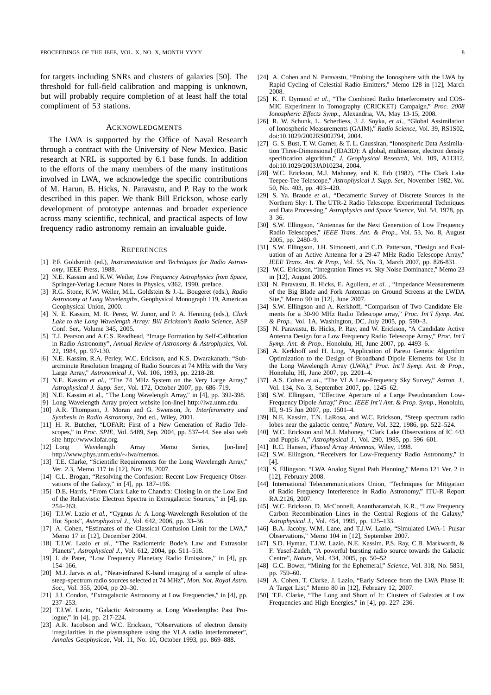for targets including SNRs and clusters of galaxies [50]. The threshold for full-field calibration and mapping is unknown, but will probably require completion of at least half the total compliment of 53 stations.

## ACKNOWLEDGMENTS

The LWA is supported by the Office of Naval Research through a contract with the University of New Mexico. Basic research at NRL is supported by 6.1 base funds. In addition to the efforts of the many members of the many institutions involved in LWA, we acknowledge the specific contributions of M. Harun, B. Hicks, N. Paravastu, and P. Ray to the work described in this paper. We thank Bill Erickson, whose early development of prototype antennas and broader experience across many scientific, technical, and practical aspects of low frequency radio astronomy remain an invaluable guide.

#### **REFERENCES**

- [1] P.F. Goldsmith (ed.), *Instrumentation and Techniques for Radio Astronomy*, IEEE Press, 1988.
- [2] N.E. Kassim and K.W. Weiler, *Low Frequency Astrophysics from Space*, Springer-Verlag Lecture Notes in Physics, v362, 1990, preface.
- [3] R.G. Stone, K.W. Weiler, M.L. Goldstein & J.-L. Bougeret (eds.), *Radio Astronomy at Long Wavelengths*, Geophysical Monograph 119, American Geophysical Union, 2000.
- [4] N. E. Kassim, M. R. Perez, W. Junor, and P. A. Henning (eds.), *Clark Lake to the Long Wavelength Array: Bill Erickson's Radio Science*, ASP Conf. Ser., Volume 345, 2005.
- [5] T.J. Pearson and A.C.S. Readhead, "Image Formation by Self-Calibration in Radio Astronomy", *Annual Review of Astronomy & Astrophysics*, Vol. 22, 1984, pp. 97-130.
- [6] N.E. Kassim, R.A. Perley, W.C. Erickson, and K.S. Dwarakanath, "Subarcminute Resolution Imaging of Radio Sources at 74 MHz with the Very Large Array," *Astronomical J.*, Vol. 106, 1993, pp. 2218-28.
- [7] N.E. Kassim et al., "The 74 MHz System on the Very Large Array," *Astrophysical J. Supp. Ser.*, Vol. 172, October 2007, pp. 686–719.
- [8] N.E. Kassim et al., "The Long Wavelength Array," in [4], pp. 392-398.
- [9] Long Wavelength Array project website [on-line] http://lwa.unm.edu.
- [10] A.R. Thompson, J. Moran and G. Swenson, Jr. *Interferometry and Synthesis in Radio Astronomy*, 2nd ed., Wiley, 2001.
- [11] H. R. Butcher, "LOFAR: First of a New Generation of Radio Telescopes," in *Proc. SPIE*, Vol. 5489, Sep. 2004, pp. 537–44. See also web site http://www.lofar.org.
- [12] Long Wavelength Array Memo Series, [on-line] http://www.phys.unm.edu/∼lwa/memos.
- [13] T.E. Clarke, "Scientific Requirements for the Long Wavelength Array," Ver. 2.3, Memo 117 in [12], Nov 19, 2007.
- [14] C.L. Brogan, "Resolving the Confusion: Recent Low Frequency Observations of the Galaxy," in [4], pp. 187–196.
- [15] D.E. Harris, "From Clark Lake to Chandra: Closing in on the Low End of the Relativistic Electron Spectra in Extragalactic Sources," in [4], pp. 254–263.
- [16] T.J.W. Lazio *et al.*, "Cygnus A: A Long-Wavelength Resolution of the Hot Spots", *Astrophysical J.*, Vol. 642, 2006, pp. 33–36.
- [17] A. Cohen, "Estimates of the Classical Confusion Limit for the LWA," Memo 17 in [12], December 2004.
- [18] T.J.W. Lazio *et al.*, "The Radiometric Bode's Law and Extrasolar Planets", *Astrophysical J.*, Vol. 612, 2004, pp. 511–518.
- [19] I. de Pater, "Low Frequency Planetary Radio Emissions," in [4], pp. 154–166.
- [20] M.J. Jarvis *et al.*, "Near-infrared K-band imaging of a sample of ultrasteep-spectrum radio sources selected at 74 MHz", *Mon. Not. Royal Astro. Soc.*, Vol. 355, 2004, pp 20–30.
- [21] J.J. Condon, "Extragalactic Astronomy at Low Frequencies," in [4], pp. 237–253.
- [22] T.J.W. Lazio, "Galactic Astronomy at Long Wavelengths: Past Prologue," in [4], pp. 217-224.
- [23] A.R. Jacobson and W.C. Erickson, "Observations of electron density irregularities in the plasmasphere using the VLA radio interferometer", *Annales Geophysicae*, Vol. 11, No. 10, October 1993, pp. 869–888.
- [24] A. Cohen and N. Paravastu, "Probing the Ionosphere with the LWA by Rapid Cycling of Celestial Radio Emitters," Memo 128 in [12], March 2008.
- [25] K. F. Dymond et al., "The Combined Radio Interferometry and COS-MIC Experiment in Tomography (CRICKET) Campaign," *Proc. 2008 Ionospheric Effects Symp.*, Alexandria, VA, May 13-15, 2008.
- [26] R. W. Schunk, L. Scherliess, J. J. Soyka, *et al.*, "Global Assimilation of Ionospheric Measurements (GAIM)," *Radio Science*, Vol. 39, RS1S02, doi:10.1029/2002RS002794, 2004.
- [27] G. S. Bust, T. W. Garner, & T. L. Gaussiran, "Ionospheric Data Assimilation Three-Dimensional (IDA3D): A global, multisensor, electron density specification algorithm," *J. Geophysical Research*, Vol. 109, A11312, doi:10.1029/2003JA010234, 2004.
- [28] W.C. Erickson, M.J. Mahoney, and K. Erb (1982), "The Clark Lake Teepee-Tee Telescope," *Astrophysical J. Supp. Ser.*, November 1982, Vol. 50, No. 403, pp. 403–420.
- [29] S. Ya. Braude *et al.*, "Decametric Survey of Discrete Sources in the Northern Sky: I. The UTR-2 Radio Telescope. Experimental Techniques and Data Processing," *Astrophysics and Space Science*, Vol. 54, 1978, pp. 3–36.
- [30] S.W. Ellingson, "Antennas for the Next Generation of Low Frequency Radio Telescopes," *IEEE Trans. Ant. & Prop.*, Vol. 53, No. 8, August 2005, pp. 2480–9.
- [31] S.W. Ellingson, J.H. Simonetti, and C.D. Patterson, "Design and Evaluation of an Active Antenna for a 29-47 MHz Radio Telescope Array," *IEEE Trans. Ant. & Prop.*, Vol. 55, No. 3, March 2007, pp. 826-831.
- [32] W.C. Erickson, "Integration Times vs. Sky Noise Dominance," Memo 23 in [12], August 2005.
- [33] N. Paravastu, B. Hicks, E. Aguilera, *et al.* , "Impedance Measurements of the Big Blade and Fork Antennas on Ground Screens at the LWDA Site," Memo 90 in [12], June 2007.
- [34] S.W. Ellingson and A. Kerkhoff, "Comparison of Two Candidate Elements for a 30-90 MHz Radio Telescope array," *Proc. Int'l Symp. Ant. & Prop.*, Vol. 1A, Washington, DC, July 2005, pp. 590–3.
- [35] N. Paravastu, B. Hicks, P. Ray, and W. Erickson, "A Candidate Active Antenna Design for a Low Frequency Radio Telescope Array," *Proc. Int'l Symp. Ant. & Prop.*, Honolulu, HI, June 2007, pp. 4493–6.
- [36] A. Kerkhoff and H. Ling, "Application of Pareto Genetic Algorithm Optimization to the Design of Broadband Dipole Elements for Use in the Long Wavelength Array (LWA)," *Proc. Int'l Symp. Ant. & Prop.*, Honolulu, HI, June 2007, pp. 2201–4.
- [37] A.S. Cohen *et al.*, "The VLA Low-Frequency Sky Survey," *Astron. J.*, Vol. 134, No. 3, September 2007, pp. 1245–62.
- [38] S.W. Ellingson, "Effective Aperture of a Large Pseudorandom Low-Frequency Dipole Array," *Proc. IEEE Int'l Ant. & Prop. Symp.*, Honolulu, HI, 9-15 Jun 2007, pp. 1501–4.
- [39] N.E. Kassim, T.N. LaRosa, and W.C. Erickson, "Steep spectrum radio lobes near the galactic centre," *Nature*, Vol. 322, 1986, pp. 522–524.
- [40] W.C. Erickson and M.J. Mahoney, "Clark Lake Observations of IC 443 and Puppis A," *Astrophysical J.*, Vol. 290, 1985, pp. 596–601.
- [41] R.C. Hansen, *Phased Array Antennas*, Wiley, 1998.
- 
- [42] S.W. Ellingson, "Receivers for Low-Frequency Radio Astronomy," in [4].
- [43] S. Ellingson, "LWA Analog Signal Path Planning," Memo 121 Ver. 2 in [12], February 2008.
- [44] International Telecommunications Union, "Techniques for Mitigation of Radio Frequency Interference in Radio Astronomy," ITU-R Report RA.2126, 2007.
- [45] W.C. Erickson, D. McConnell, Anantharamaiah, K.R., "Low Frequency Carbon Recombination Lines in the Central Regions of the Galaxy," *Astrophysical J.*, Vol. 454, 1995, pp. 125–133.
- [46] B.A. Jacoby, W.M. Lane, and T.J.W. Lazio, "Simulated LWA-1 Pulsar Observations," Memo 104 in [12], September 2007.
- [47] S.D. Hyman, T.J.W. Lazio, N.E. Kassim, P.S. Ray, C.B. Markwardt, & F. Yusef-Zadeh, "A powerful bursting radio source towards the Galactic Centre", *Nature*, Vol. 434, 2005, pp. 50–52
- [48] G.C. Bower, "Mining for the Ephemeral," *Science*, Vol. 318, No. 5851, pp. 759–60.
- [49] A. Cohen, T. Clarke, J. Lazio, "Early Science from the LWA Phase II: A Target List," Memo 80 in [12], February 12, 2007.
- [50] T.E. Clarke, "The Long and Short of It: Clusters of Galaxies at Low Frequencies and High Energies," in [4], pp. 227–236.